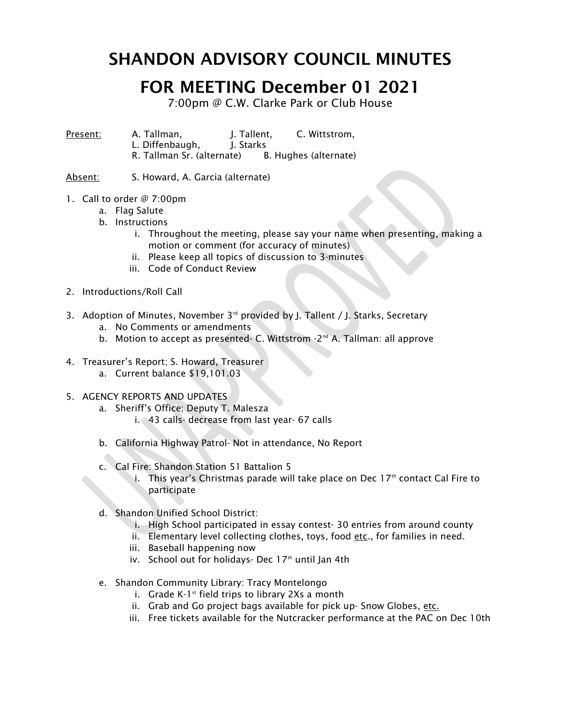## SHANDON ADVISORY COUNCIL MINUTES

## FOR MEETING December 01 2021

7:00pm @ C.W. Clarke Park or Club House

Present: A. Tallman, J. Tallent, C. Wittstrom, L. Diffenbaugh. I. Starks R. Tallman Sr. (alternate) B. Hughes (alternate)

Absent: S. Howard, A. Garcia (alternate)

- 1. Call to order @ 7:00pm
	- a. Flag Salute
	- b. Instructions
		- i. Throughout the meeting, please say your name when presenting, making a motion or comment (for accuracy of minutes)
		- ii. Please keep all topics of discussion to 3-minutes
		- iii. Code of Conduct Review
- 2. Introductions/Roll Call
- 3. Adoption of Minutes, November  $3<sup>rd</sup>$  provided by J. Tallent / J. Starks, Secretary
	- a. No Comments or amendments
	- b. Motion to accept as presented- C. Wittstrom -2<sup>nd</sup> A. Tallman: all approve
- 4. Treasurer's Report; S. Howard, Treasurer
	- a. Current balance \$19,101.03
- 5. AGENCY REPORTS AND UPDATES
	- a. Sheriff's Office; Deputy T. Malesza i. 43 calls- decrease from last year- 67 calls
	- b. California Highway Patrol- Not in attendance, No Report
	- c. Cal Fire: Shandon Station 51 Battalion 5
		- i. This year's Christmas parade will take place on Dec  $17<sup>th</sup>$  contact Cal Fire to participate
	- d. Shandon Unified School District:
		- i. High School participated in essay contest- 30 entries from around county
		- ii. Elementary level collecting clothes, toys, food etc., for families in need.
		- iii. Baseball happening now
		- iv. School out for holidays- Dec  $17<sup>th</sup>$  until Jan 4th
	- e. Shandon Community Library: Tracy Montelongo
		- i. Grade K-1 $st$  field trips to library 2Xs a month
		- ii. Grab and Go project bags available for pick up- Snow Globes, etc.
		- iii. Free tickets available for the Nutcracker performance at the PAC on Dec 10th